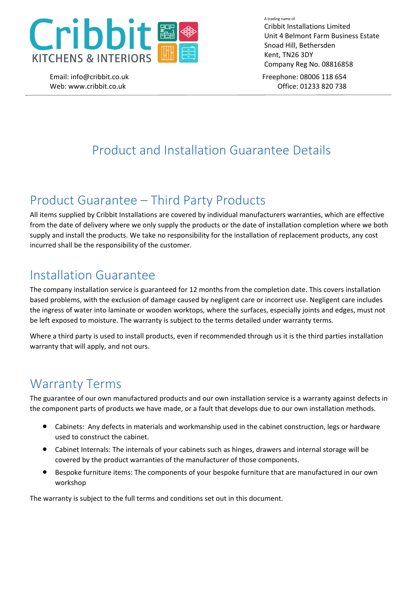

Email: info@cribbit.co.uk Freephone: 08006 118 654 A trading name of Cribbit Installations Limited Unit 4 Belmont Farm Business Estate Snoad Hill, Bethersden Kent, TN26 3DY Company Reg No. 08816858

Web: www.cribbit.co.uk Debit.co.uk Debit.co.uk Debit.co.uk

# Product and Installation Guarantee Details

## Product Guarantee – Third Party Products

All items supplied by Cribbit Installations are covered by individual manufacturers warranties, which are effective from the date of delivery where we only supply the products or the date of installation completion where we both supply and install the products. We take no responsibility for the installation of replacement products, any cost incurred shall be the responsibility of the customer.

## Installation Guarantee

The company installation service is guaranteed for 12 months from the completion date. This covers installation based problems, with the exclusion of damage caused by negligent care or incorrect use. Negligent care includes the ingress of water into laminate or wooden worktops, where the surfaces, especially joints and edges, must not be left exposed to moisture. The warranty is subject to the terms detailed under warranty terms.

Where a third party is used to install products, even if recommended through us it is the third parties installation warranty that will apply, and not ours.

# Warranty Terms

The guarantee of our own manufactured products and our own installation service is a warranty against defects in the component parts of products we have made, or a fault that develops due to our own installation methods.

- Cabinets: Any defects in materials and workmanship used in the cabinet construction, legs or hardware used to construct the cabinet.
- Cabinet Internals: The internals of your cabinets such as hinges, drawers and internal storage will be covered by the product warranties of the manufacturer of those components.
- Bespoke furniture items: The components of your bespoke furniture that are manufactured in our own workshop

The warranty is subject to the full terms and conditions set out in this document.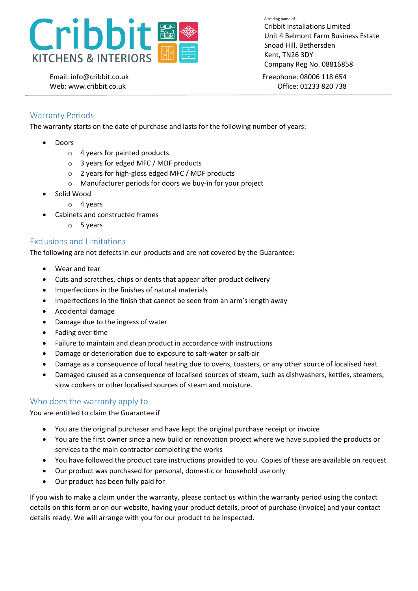

Email: info@cribbit.co.uk Freephone: 08006 118 654 Cribbit Installations Limited Unit 4 Belmont Farm Business Estate Snoad Hill, Bethersden Kent, TN26 3DY Company Reg No. 08816858

A trading name of

Web: www.cribbit.co.uk Debit.co.uk Debit.co.uk Debit.co.uk

## Warranty Periods

The warranty starts on the date of purchase and lasts for the following number of years:

- Doors
	- o 4 years for painted products
	- o 3 years for edged MFC / MDF products
	- o 2 years for high-gloss edged MFC / MDF products
	- o Manufacturer periods for doors we buy-in for your project
- Solid Wood
	- o 4 years
- Cabinets and constructed frames
	- o 5 years

### Exclusions and Limitations

The following are not defects in our products and are not covered by the Guarantee:

- Wear and tear
- Cuts and scratches, chips or dents that appear after product delivery
- Imperfections in the finishes of natural materials
- Imperfections in the finish that cannot be seen from an arm's length away
- Accidental damage
- Damage due to the ingress of water
- Fading over time
- Failure to maintain and clean product in accordance with instructions
- Damage or deterioration due to exposure to salt-water or salt-air
- Damage as a consequence of local heating due to ovens, toasters, or any other source of localised heat
- Damaged caused as a consequence of localised sources of steam, such as dishwashers, kettles, steamers, slow cookers or other localised sources of steam and moisture.

### Who does the warranty apply to

You are entitled to claim the Guarantee if

- You are the original purchaser and have kept the original purchase receipt or invoice
- You are the first owner since a new build or renovation project where we have supplied the products or services to the main contractor completing the works
- You have followed the product care instructions provided to you. Copies of these are available on request
- Our product was purchased for personal, domestic or household use only
- Our product has been fully paid for

If you wish to make a claim under the warranty, please contact us within the warranty period using the contact details on this form or on our website, having your product details, proof of purchase (invoice) and your contact details ready. We will arrange with you for our product to be inspected.